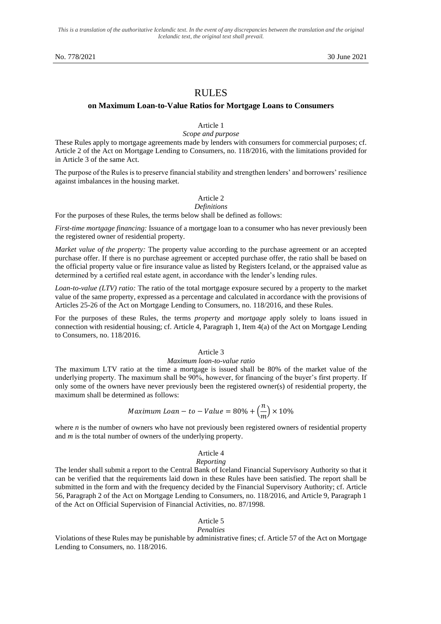*This is a translation of the authoritative Icelandic text. In the event of any discrepancies between the translation and the original Icelandic text, the original text shall prevail.*

No. 778/2021 30 June 2021

# RULES

### **on Maximum Loan-to-Value Ratios for Mortgage Loans to Consumers**

## Article 1

#### *Scope and purpose*

These Rules apply to mortgage agreements made by lenders with consumers for commercial purposes; cf. Article 2 of the Act on Mortgage Lending to Consumers, no. 118/2016, with the limitations provided for in Article 3 of the same Act.

The purpose of the Rules is to preserve financial stability and strengthen lenders' and borrowers' resilience against imbalances in the housing market.

# Article 2

# *Definitions*

For the purposes of these Rules, the terms below shall be defined as follows:

*First-time mortgage financing:* Issuance of a mortgage loan to a consumer who has never previously been the registered owner of residential property.

*Market value of the property:* The property value according to the purchase agreement or an accepted purchase offer. If there is no purchase agreement or accepted purchase offer, the ratio shall be based on the official property value or fire insurance value as listed by Registers Iceland, or the appraised value as determined by a certified real estate agent, in accordance with the lender's lending rules.

*Loan-to-value (LTV) ratio:* The ratio of the total mortgage exposure secured by a property to the market value of the same property, expressed as a percentage and calculated in accordance with the provisions of Articles 25-26 of the Act on Mortgage Lending to Consumers, no. 118/2016, and these Rules.

For the purposes of these Rules, the terms *property* and *mortgage* apply solely to loans issued in connection with residential housing; cf. Article 4, Paragraph 1, Item 4(a) of the Act on Mortgage Lending to Consumers, no. 118/2016.

## Article 3

#### *Maximum loan-to-value ratio*

The maximum LTV ratio at the time a mortgage is issued shall be 80% of the market value of the underlying property. The maximum shall be 90%, however, for financing of the buyer's first property. If only some of the owners have never previously been the registered owner(s) of residential property, the maximum shall be determined as follows:

Maximum 
$$
Ioan - to - Value = 80\% + \left(\frac{n}{m}\right) \times 10\%
$$

where *n* is the number of owners who have not previously been registered owners of residential property and *m* is the total number of owners of the underlying property.

### Article 4

#### *Reporting*

The lender shall submit a report to the Central Bank of Iceland Financial Supervisory Authority so that it can be verified that the requirements laid down in these Rules have been satisfied. The report shall be submitted in the form and with the frequency decided by the Financial Supervisory Authority; cf. Article 56, Paragraph 2 of the Act on Mortgage Lending to Consumers, no. 118/2016, and Article 9, Paragraph 1 of the Act on Official Supervision of Financial Activities, no. 87/1998.

#### Article 5 *Penalties*

Violations of these Rules may be punishable by administrative fines; cf. Article 57 of the Act on Mortgage Lending to Consumers, no. 118/2016.